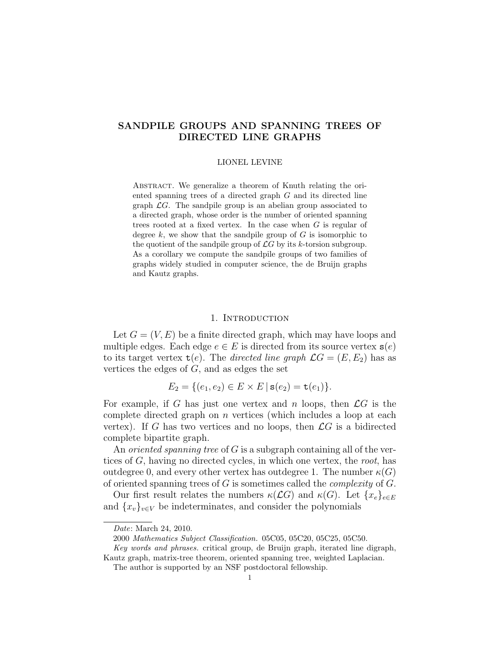# SANDPILE GROUPS AND SPANNING TREES OF DIRECTED LINE GRAPHS

#### LIONEL LEVINE

ABSTRACT. We generalize a theorem of Knuth relating the oriented spanning trees of a directed graph G and its directed line graph  $\mathcal{L}G$ . The sandpile group is an abelian group associated to a directed graph, whose order is the number of oriented spanning trees rooted at a fixed vertex. In the case when  $G$  is regular of degree k, we show that the sandpile group of  $G$  is isomorphic to the quotient of the sandpile group of  $\mathcal{L}G$  by its k-torsion subgroup. As a corollary we compute the sandpile groups of two families of graphs widely studied in computer science, the de Bruijn graphs and Kautz graphs.

### 1. INTRODUCTION

Let  $G = (V, E)$  be a finite directed graph, which may have loops and multiple edges. Each edge  $e \in E$  is directed from its source vertex  $s(e)$ to its target vertex  $t(e)$ . The directed line graph  $\mathcal{L}G = (E, E_2)$  has as vertices the edges of G, and as edges the set

$$
E_2 = \{ (e_1, e_2) \in E \times E \mid \mathbf{s}(e_2) = \mathbf{t}(e_1) \}.
$$

For example, if G has just one vertex and n loops, then  $\mathcal{L}G$  is the complete directed graph on  $n$  vertices (which includes a loop at each vertex). If G has two vertices and no loops, then  $\mathcal{L}G$  is a bidirected complete bipartite graph.

An *oriented spanning tree* of  $G$  is a subgraph containing all of the vertices of G, having no directed cycles, in which one vertex, the root, has outdegree 0, and every other vertex has outdegree 1. The number  $\kappa(G)$ of oriented spanning trees of  $G$  is sometimes called the *complexity* of  $G$ .

Our first result relates the numbers  $\kappa(\mathcal{L}G)$  and  $\kappa(G)$ . Let  $\{x_e\}_{e\in E}$ and  $\{x_v\}_{v\in V}$  be indeterminates, and consider the polynomials

Date: March 24, 2010.

<sup>2000</sup> Mathematics Subject Classification. 05C05, 05C20, 05C25, 05C50.

Key words and phrases. critical group, de Bruijn graph, iterated line digraph, Kautz graph, matrix-tree theorem, oriented spanning tree, weighted Laplacian.

The author is supported by an NSF postdoctoral fellowship.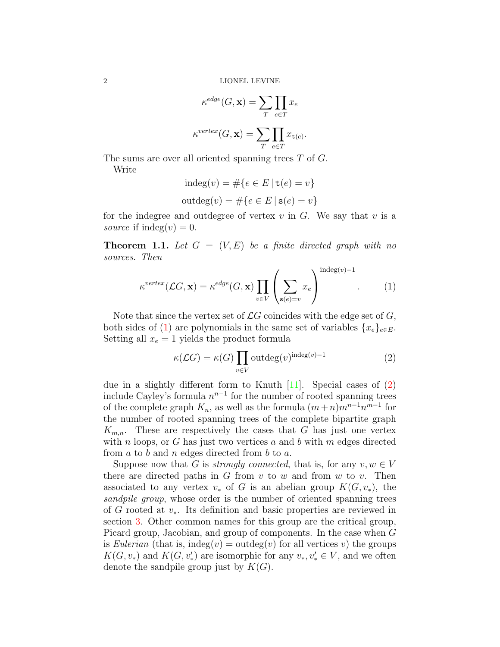$$
\kappa^{edge}(G, \mathbf{x}) = \sum_{T} \prod_{e \in T} x_e
$$

$$
\kappa^{vertex}(G, \mathbf{x}) = \sum_{T} \prod_{e \in T} x_{\mathbf{t}(e)}.
$$

The sums are over all oriented spanning trees T of G.

Write

$$
indeg(v) = #\{e \in E \mid \mathbf{t}(e) = v\}
$$
  
outdeg(v) = #\{e \in E \mid \mathbf{s}(e) = v\}

for the indegree and outdegree of vertex  $v$  in  $G$ . We say that  $v$  is a source if indeg $(v) = 0$ .

<span id="page-1-2"></span>**Theorem 1.1.** Let  $G = (V, E)$  be a finite directed graph with no sources. Then

<span id="page-1-0"></span>
$$
\kappa^{vertex}(\mathcal{L}G, \mathbf{x}) = \kappa^{edge}(G, \mathbf{x}) \prod_{v \in V} \left( \sum_{\mathbf{s}(e) = v} x_e \right)^{\text{indeg}(v) - 1}.
$$
 (1)

Note that since the vertex set of  $\mathcal{L}G$  coincides with the edge set of G, both sides of [\(1\)](#page-1-0) are polynomials in the same set of variables  $\{x_e\}_{e \in E}$ . Setting all  $x_e = 1$  yields the product formula

<span id="page-1-1"></span>
$$
\kappa(\mathcal{L}G) = \kappa(G) \prod_{v \in V} \text{outdeg}(v)^{\text{indeg}(v) - 1} \tag{2}
$$

due in a slightly different form to Knuth  $[11]$ . Special cases of  $(2)$ include Cayley's formula  $n^{n-1}$  for the number of rooted spanning trees of the complete graph  $K_n$ , as well as the formula  $(m+n)m^{n-1}n^{m-1}$  for the number of rooted spanning trees of the complete bipartite graph  $K_{m,n}$ . These are respectively the cases that G has just one vertex with n loops, or G has just two vertices a and b with m edges directed from  $a$  to  $b$  and  $n$  edges directed from  $b$  to  $a$ .

Suppose now that G is *strongly connected*, that is, for any  $v, w \in V$ there are directed paths in  $G$  from  $v$  to  $w$  and from  $w$  to  $v$ . Then associated to any vertex  $v_*$  of G is an abelian group  $K(G, v_*)$ , the sandpile group, whose order is the number of oriented spanning trees of G rooted at  $v_*$ . Its definition and basic properties are reviewed in section [3.](#page-10-0) Other common names for this group are the critical group, Picard group, Jacobian, and group of components. In the case when G is Eulerian (that is, indeg(v) = outdeg(v) for all vertices v) the groups  $K(G, v_*)$  and  $K(G, v'_*)$  are isomorphic for any  $v_*, v'_* \in V$ , and we often denote the sandpile group just by  $K(G)$ .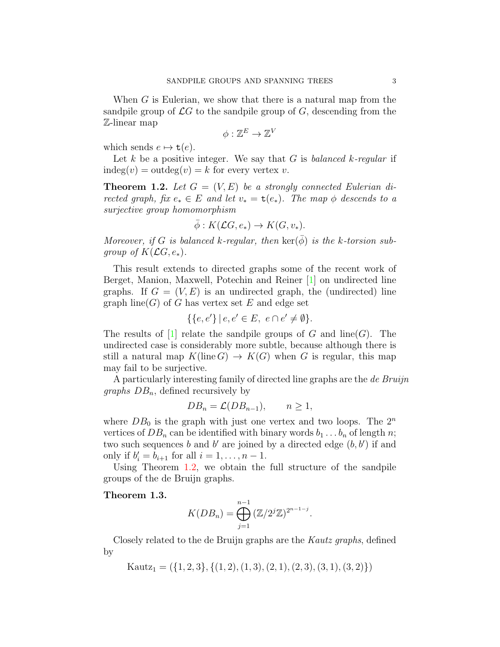When  $G$  is Eulerian, we show that there is a natural map from the sandpile group of  $\mathcal{L}G$  to the sandpile group of G, descending from the Z-linear map

$$
\phi:\mathbb{Z}^E\to \mathbb{Z}^V
$$

which sends  $e \mapsto \mathsf{t}(e)$ .

Let k be a positive integer. We say that G is balanced k-regular if  $indeg(v) = outdeg(v) = k$  for every vertex v.

<span id="page-2-0"></span>**Theorem 1.2.** Let  $G = (V, E)$  be a strongly connected Eulerian directed graph, fix  $e_* \in E$  and let  $v_* = \mathbf{t}(e_*)$ . The map  $\phi$  descends to a surjective group homomorphism

$$
\bar{\phi}: K(\mathcal{L}G, e_*) \to K(G, v_*).
$$

Moreover, if G is balanced k-regular, then  $\ker(\phi)$  is the k-torsion subgroup of  $K(\mathcal{L}G, e_*)$ .

This result extends to directed graphs some of the recent work of Berget, Manion, Maxwell, Potechin and Reiner [\[1\]](#page-17-0) on undirected line graphs. If  $G = (V, E)$  is an undirected graph, the (undirected) line graph  $\text{line}(G)$  of G has vertex set E and edge set

$$
\{\{e, e'\} \mid e, e' \in E, \ e \cap e' \neq \emptyset\}.
$$

The results of [\[1\]](#page-17-0) relate the sandpile groups of G and  $\text{line}(G)$ . The undirected case is considerably more subtle, because although there is still a natural map  $K(\text{line }G) \to K(G)$  when G is regular, this map may fail to be surjective.

A particularly interesting family of directed line graphs are the de Bruijn *graphs*  $DB_n$ , defined recursively by

$$
DB_n = \mathcal{L}(DB_{n-1}), \qquad n \ge 1,
$$

where  $DB_0$  is the graph with just one vertex and two loops. The  $2^n$ vertices of  $DB_n$  can be identified with binary words  $b_1 \ldots b_n$  of length n; two such sequences b and b' are joined by a directed edge  $(b, b')$  if and only if  $b'_i = b_{i+1}$  for all  $i = 1, ..., n - 1$ .

Using Theorem [1.2,](#page-2-0) we obtain the full structure of the sandpile groups of the de Bruijn graphs.

<span id="page-2-1"></span>Theorem 1.3.

$$
K(DB_n) = \bigoplus_{j=1}^{n-1} \left(\mathbb{Z}/2^j\mathbb{Z}\right)^{2^{n-1-j}}
$$

.

Closely related to the de Bruijn graphs are the Kautz graphs, defined by

 $Kautz_1 = (\{1, 2, 3\}, \{(1, 2), (1, 3), (2, 1), (2, 3), (3, 1), (3, 2)\})$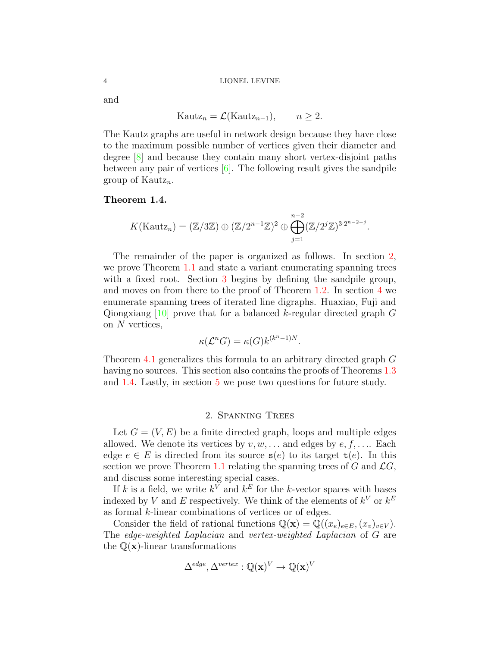and

$$
Kautz_n = \mathcal{L}(Kautz_{n-1}), \qquad n \ge 2.
$$

The Kautz graphs are useful in network design because they have close to the maximum possible number of vertices given their diameter and degree [\[8\]](#page-18-1) and because they contain many short vertex-disjoint paths between any pair of vertices [\[6\]](#page-17-1). The following result gives the sandpile group of Kautz<sub>n</sub>.

# <span id="page-3-1"></span>Theorem 1.4.

$$
K(\text{Kautz}_n) = (\mathbb{Z}/3\mathbb{Z}) \oplus (\mathbb{Z}/2^{n-1}\mathbb{Z})^2 \oplus \bigoplus_{j=1}^{n-2} (\mathbb{Z}/2^j\mathbb{Z})^{3 \cdot 2^{n-2-j}}.
$$

The remainder of the paper is organized as follows. In section [2,](#page-3-0) we prove Theorem [1.1](#page-1-2) and state a variant enumerating spanning trees with a fixed root. Section [3](#page-10-0) begins by defining the sandpile group, and moves on from there to the proof of Theorem [1.2.](#page-2-0) In section [4](#page-14-0) we enumerate spanning trees of iterated line digraphs. Huaxiao, Fuji and Qiongxiang  $[10]$  prove that for a balanced k-regular directed graph G on N vertices,

$$
\kappa(\mathcal{L}^n G) = \kappa(G) k^{(k^n - 1)N}.
$$

Theorem [4.1](#page-15-0) generalizes this formula to an arbitrary directed graph G having no sources. This section also contains the proofs of Theorems [1.3](#page-2-1) and [1.4.](#page-3-1) Lastly, in section [5](#page-17-2) we pose two questions for future study.

# 2. Spanning Trees

<span id="page-3-0"></span>Let  $G = (V, E)$  be a finite directed graph, loops and multiple edges allowed. We denote its vertices by  $v, w, \ldots$  and edges by  $e, f, \ldots$  Each edge  $e \in E$  is directed from its source  $s(e)$  to its target  $t(e)$ . In this section we prove Theorem [1.1](#page-1-2) relating the spanning trees of G and  $\mathcal{L}G$ , and discuss some interesting special cases.

If k is a field, we write  $k^V$  and  $k^E$  for the k-vector spaces with bases indexed by V and E respectively. We think of the elements of  $k^V$  or  $k^E$ as formal k-linear combinations of vertices or of edges.

Consider the field of rational functions  $\mathbb{Q}(\mathbf{x}) = \mathbb{Q}((x_e)_{e \in E}, (x_v)_{v \in V})$ . The edge-weighted Laplacian and vertex-weighted Laplacian of G are the  $\mathbb{Q}(\mathbf{x})$ -linear transformations

$$
\Delta^{edge}, \Delta^{vertex} : \mathbb{Q}(\mathbf{x})^V \to \mathbb{Q}(\mathbf{x})^V
$$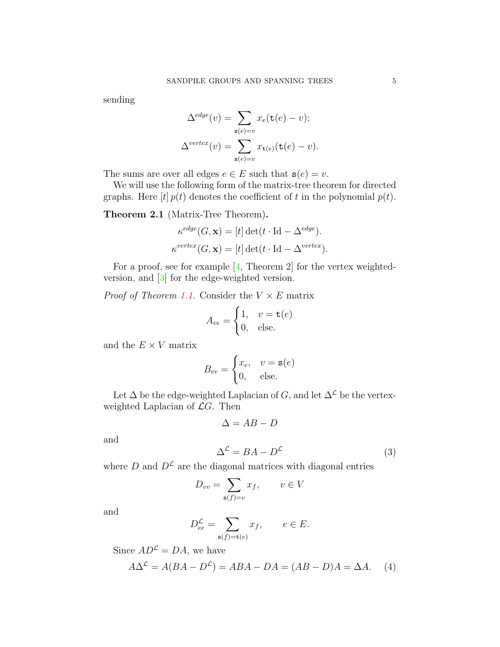sending

$$
\Delta^{edge}(v) = \sum_{\mathbf{s}(e)=v} x_e(\mathbf{t}(e) - v);
$$

$$
\Delta^{vertex}(v) = \sum_{\mathbf{s}(e)=v} x_{\mathbf{t}(e)}(\mathbf{t}(e) - v).
$$

The sums are over all edges  $e \in E$  such that  $s(e) = v$ .

We will use the following form of the matrix-tree theorem for directed graphs. Here  $[t]$   $p(t)$  denotes the coefficient of t in the polynomial  $p(t)$ .

Theorem 2.1 (Matrix-Tree Theorem).

$$
\kappa^{edge}(G, \mathbf{x}) = [t] \det(t \cdot \text{Id} - \Delta^{edge}).
$$
  

$$
\kappa^{vertex}(G, \mathbf{x}) = [t] \det(t \cdot \text{Id} - \Delta^{vertex}).
$$

For a proof, see for example [\[4,](#page-17-3) Theorem 2] for the vertex weightedversion, and [\[3\]](#page-17-4) for the edge-weighted version.

*Proof of Theorem [1.1.](#page-1-2)* Consider the  $V \times E$  matrix

$$
A_{ve} = \begin{cases} 1, & v = \mathtt{t}(e) \\ 0, & \text{else.} \end{cases}
$$

and the  $E \times V$  matrix

$$
B_{ev} = \begin{cases} x_e, & v = \mathbf{s}(e) \\ 0, & \text{else.} \end{cases}
$$

Let  $\Delta$  be the edge-weighted Laplacian of  $G,$  and let  $\Delta^{\mathcal{L}}$  be the vertexweighted Laplacian of  $\mathcal{L}G$ . Then

$$
\Delta = AB - D
$$

and

<span id="page-4-1"></span>
$$
\Delta^{\mathcal{L}} = BA - D^{\mathcal{L}} \tag{3}
$$

where D and  $D^{\mathcal{L}}$  are the diagonal matrices with diagonal entries

$$
D_{vv} = \sum_{\mathbf{s}(f)=v} x_f, \qquad v \in V
$$

and

$$
D_{ee}^{\mathcal{L}} = \sum_{\mathbf{s}(f)=\mathbf{t}(e)} x_f, \qquad e \in E.
$$

Since  $AD^{\mathcal{L}} = DA$ , we have

<span id="page-4-0"></span>
$$
A\Delta^{\mathcal{L}} = A(BA - D^{\mathcal{L}}) = ABA - DA = (AB - D)A = \Delta A. \tag{4}
$$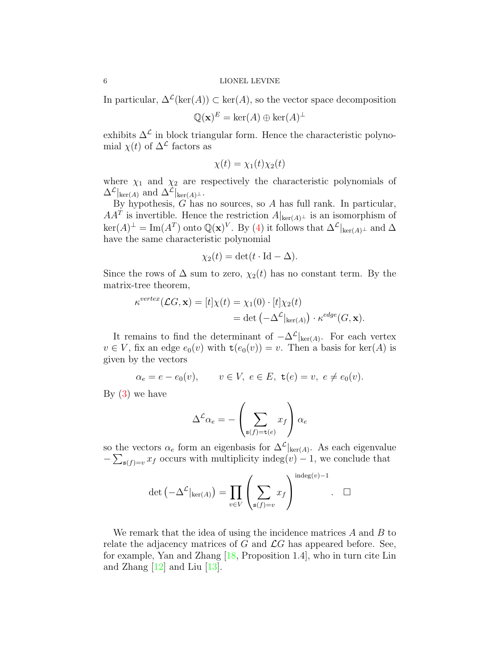In particular,  $\Delta^{\mathcal{L}}(\text{ker}(A)) \subset \text{ker}(A)$ , so the vector space decomposition

$$
\mathbb{Q}(\mathbf{x})^E = \ker(A) \oplus \ker(A)^\perp
$$

exhibits  $\Delta^{\mathcal{L}}$  in block triangular form. Hence the characteristic polynomial  $\chi(t)$  of  $\Delta^{\mathcal{L}}$  factors as

$$
\chi(t) = \chi_1(t)\chi_2(t)
$$

where  $\chi_1$  and  $\chi_2$  are respectively the characteristic polynomials of  $\Delta^{\mathcal{L}}|_{\ker(A)}$  and  $\Delta^{\mathcal{L}}|_{\ker(A)^{\perp}}$ .

By hypothesis,  $G$  has no sources, so  $A$  has full rank. In particular,  $AA<sup>T</sup>$  is invertible. Hence the restriction  $A|_{\text{ker}(A)^{\perp}}$  is an isomorphism of  $\ker(A)^{\perp} = \text{Im}(A^T)$  onto  $\mathbb{Q}(\mathbf{x})^V$ . By [\(4\)](#page-4-0) it follows that  $\Delta^{\mathcal{L}}|_{\ker(A)^{\perp}}$  and  $\Delta$ have the same characteristic polynomial

$$
\chi_2(t) = \det(t \cdot \mathrm{Id} - \Delta).
$$

Since the rows of  $\Delta$  sum to zero,  $\chi_2(t)$  has no constant term. By the matrix-tree theorem,

$$
\kappa^{vertex}(\mathcal{L}G, \mathbf{x}) = [t] \chi(t) = \chi_1(0) \cdot [t] \chi_2(t)
$$
  
= det  $(-\Delta^{\mathcal{L}}|_{\ker(A)}) \cdot \kappa^{edge}(G, \mathbf{x}).$ 

It remains to find the determinant of  $-\Delta^{\mathcal{L}}|_{\text{ker}(A)}$ . For each vertex  $v \in V$ , fix an edge  $e_0(v)$  with  $\mathsf{t}(e_0(v)) = v$ . Then a basis for ker(A) is given by the vectors

$$
\alpha_e = e - e_0(v)
$$
,  $v \in V$ ,  $e \in E$ ,  $\mathbf{t}(e) = v$ ,  $e \neq e_0(v)$ .

By  $(3)$  we have

$$
\Delta^{\mathcal{L}}\alpha_e = -\left(\sum_{\mathbf{s}(f)=\mathbf{t}(e)} x_f\right)\alpha_e
$$

so the vectors  $\alpha_e$  form an eigenbasis for  $\Delta^{\mathcal{L}}|_{\text{ker}(A)}$ . As each eigenvalue  $-\sum_{s(f)=v} x_f$  occurs with multiplicity indeg(v) – 1, we conclude that

$$
\det \left( -\Delta^{\mathcal{L}}|_{\ker(A)} \right) = \prod_{v \in V} \left( \sum_{\mathbf{s}(f) = v} x_f \right)^{\text{indeg}(v) - 1} . \quad \Box
$$

We remark that the idea of using the incidence matrices A and B to relate the adjacency matrices of G and  $\mathcal{L}G$  has appeared before. See, for example, Yan and Zhang [\[18,](#page-18-3) Proposition 1.4], who in turn cite Lin and Zhang [\[12\]](#page-18-4) and Liu [\[13\]](#page-18-5).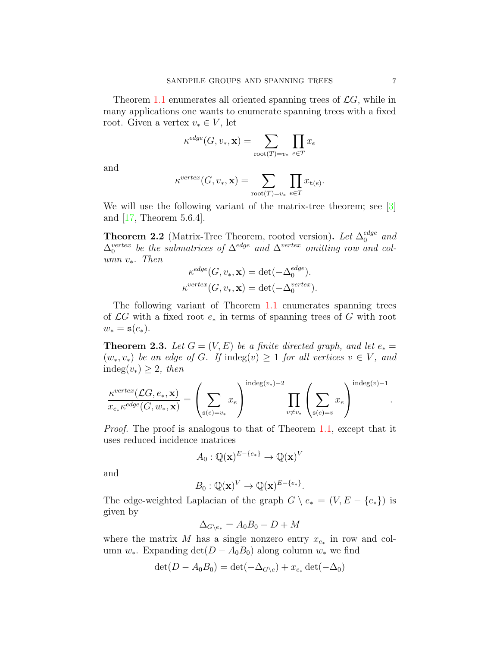Theorem [1.1](#page-1-2) enumerates all oriented spanning trees of  $\mathcal{L}G$ , while in many applications one wants to enumerate spanning trees with a fixed root. Given a vertex  $v_* \in V$ , let

$$
\kappa^{edge}(G, v_*, \mathbf{x}) = \sum_{\text{root}(T) = v_*} \prod_{e \in T} x_e
$$

and

$$
\kappa^{vertex}(G, v_*, \mathbf{x}) = \sum_{\text{root}(T) = v_*} \prod_{e \in T} x_{\mathbf{t}(e)}.
$$

We will use the following variant of the matrix-tree theorem; see [\[3\]](#page-17-4) and [\[17,](#page-18-6) Theorem 5.6.4].

<span id="page-6-0"></span>**Theorem 2.2** (Matrix-Tree Theorem, rooted version). Let  $\Delta_0^{edge}$  and  $\Delta_0^{vertex}$  be the submatrices of  $\Delta^{edge}$  and  $\Delta^{vertex}$  omitting row and column  $v_*$ . Then

$$
\kappa^{edge}(G, v_*, \mathbf{x}) = \det(-\Delta_0^{edge}).
$$
  

$$
\kappa^{vertex}(G, v_*, \mathbf{x}) = \det(-\Delta_0^{vertex}).
$$

The following variant of Theorem [1.1](#page-1-2) enumerates spanning trees of  $\mathcal{L}G$  with a fixed root  $e_*$  in terms of spanning trees of G with root  $w_* = \mathbf{s}(e_*)$ .

<span id="page-6-1"></span>**Theorem 2.3.** Let  $G = (V, E)$  be a finite directed graph, and let  $e_* =$  $(w_*, v_*)$  be an edge of G. If indeg $(v) \geq 1$  for all vertices  $v \in V$ , and indeg $(v_*) \geq 2$ , then

$$
\frac{\kappa^{vertex}(\mathcal{L}G, e_*, \mathbf{x})}{x_{e_*}\kappa^{edge}(G, w_*, \mathbf{x})} = \left(\sum_{\mathbf{s}(e)=v_*} x_e\right)^{\text{indeg}(v_*)-2} \prod_{v \neq v_*} \left(\sum_{\mathbf{s}(e)=v} x_e\right)^{\text{indeg}(v)-1}.
$$

Proof. The proof is analogous to that of Theorem [1.1,](#page-1-2) except that it uses reduced incidence matrices

$$
A_0: \mathbb{Q}(\mathbf{x})^{E-\{e_*\}} \to \mathbb{Q}(\mathbf{x})^V
$$

and

$$
B_0: \mathbb{Q}(\mathbf{x})^V \to \mathbb{Q}(\mathbf{x})^{E-\{e_*\}}.
$$

The edge-weighted Laplacian of the graph  $G \setminus e_*= (V, E - \{e_*\})$  is given by

$$
\Delta_{G \setminus e_*} = A_0 B_0 - D + M
$$

where the matrix M has a single nonzero entry  $x_{e_*}$  in row and column w<sub>∗</sub>. Expanding det( $D - A_0 B_0$ ) along column w<sub>∗</sub> we find

$$
\det(D - A_0 B_0) = \det(-\Delta_{G \setminus e}) + x_{e_*} \det(-\Delta_0)
$$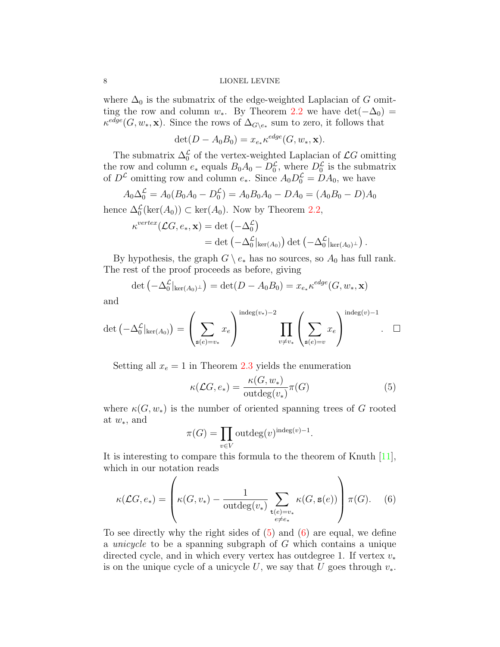where  $\Delta_0$  is the submatrix of the edge-weighted Laplacian of G omitting the row and column  $w_*$ . By Theorem [2.2](#page-6-0) we have det( $-\Delta_0$ ) =  $\kappa^{edge}(G, w_*, \mathbf{x})$ . Since the rows of  $\Delta_{G\setminus e_*}$  sum to zero, it follows that

$$
\det(D - A_0 B_0) = x_{e_*} \kappa^{edge}(G, w_*, \mathbf{x}).
$$

The submatrix  $\Delta_0^{\mathcal{L}}$  of the vertex-weighted Laplacian of  $\mathcal{L}G$  omitting the row and column  $e_*$  equals  $B_0A_0 - D_0^{\mathcal{L}}$ , where  $D_0^{\mathcal{L}}$  is the submatrix of  $D^{\mathcal{L}}$  omitting row and column  $e_*$ . Since  $A_0D_0^{\mathcal{L}} = DA_0$ , we have

$$
A_0 \Delta_0^{\mathcal{L}} = A_0 (B_0 A_0 - D_0^{\mathcal{L}}) = A_0 B_0 A_0 - D A_0 = (A_0 B_0 - D) A_0
$$

hence  $\Delta_0^{\mathcal{L}}(\ker(A_0)) \subset \ker(A_0)$ . Now by Theorem [2.2,](#page-6-0)

$$
\kappa^{vertex}(\mathcal{L}G, e_*, \mathbf{x}) = \det (-\Delta_0^{\mathcal{L}})
$$
  
= det  $(-\Delta_0^{\mathcal{L}}|_{\ker(A_0)})$  det  $(-\Delta_0^{\mathcal{L}}|_{\ker(A_0)^{\perp}})$ .

By hypothesis, the graph  $G \setminus e_*$  has no sources, so  $A_0$  has full rank. The rest of the proof proceeds as before, giving

$$
\det \left( -\Delta_0^{\mathcal{L}}|_{\ker(A_0)^{\perp}} \right) = \det (D - A_0 B_0) = x_{e_*} \kappa^{edge}(G, w_*, \mathbf{x})
$$

and

$$
\det\left(-\Delta_0^{\mathcal{L}}|_{\ker(A_0)}\right) = \left(\sum_{\mathbf{s}(e)=v_*} x_e\right)^{\text{indeg}(v_*)-2} \prod_{v \neq v_*} \left(\sum_{\mathbf{s}(e)=v} x_e\right)^{\text{indeg}(v)-1}.\quad \Box
$$

Setting all  $x_e = 1$  in Theorem [2.3](#page-6-1) yields the enumeration

<span id="page-7-0"></span>
$$
\kappa(\mathcal{L}G, e_*) = \frac{\kappa(G, w_*)}{\text{outdeg}(v_*)} \pi(G)
$$
\n<sup>(5)</sup>

where  $\kappa(G, w_*)$  is the number of oriented spanning trees of G rooted at  $w_*,$  and

$$
\pi(G) = \prod_{v \in V} \text{outdeg}(v)^{\text{indeg}(v) - 1}.
$$

It is interesting to compare this formula to the theorem of Knuth [\[11\]](#page-18-0), which in our notation reads

<span id="page-7-1"></span>
$$
\kappa(\mathcal{L}G, e_*) = \left(\kappa(G, v_*) - \frac{1}{\text{outdeg}(v_*)} \sum_{\substack{\mathbf{t}(e) = v_*\\e \neq e_*}} \kappa(G, \mathbf{s}(e))\right) \pi(G). \tag{6}
$$

To see directly why the right sides of [\(5\)](#page-7-0) and [\(6\)](#page-7-1) are equal, we define a unicycle to be a spanning subgraph of G which contains a unique directed cycle, and in which every vertex has outdegree 1. If vertex  $v_*$ is on the unique cycle of a unicycle U, we say that U goes through  $v_*$ .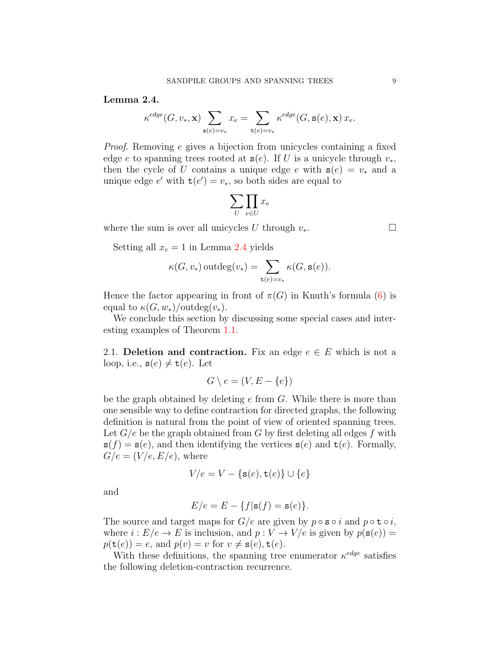<span id="page-8-0"></span>Lemma 2.4.

$$
\kappa^{edge}(G,v_*,\mathbf{x})\sum_{\mathbf{s}(e)=v_*}x_e=\sum_{\mathbf{t}(e)=v_*}\kappa^{edge}(G,\mathbf{s}(e),\mathbf{x})\,x_e.
$$

Proof. Removing e gives a bijection from unicycles containing a fixed edge e to spanning trees rooted at  $s(e)$ . If U is a unicycle through  $v_*,$ then the cycle of U contains a unique edge e with  $s(e) = v_*$  and a unique edge  $e'$  with  $\mathbf{t}(e') = v_*$ , so both sides are equal to

$$
\sum_U \prod_{e \in U} x_e
$$

where the sum is over all unicycles U through  $v_*$ .

Setting all  $x_e = 1$  in Lemma [2.4](#page-8-0) yields

$$
\kappa(G, v_*) \operatorname{outdeg}(v_*) = \sum_{\mathtt{t}(e)=v_*} \kappa(G, \mathtt{s}(e)).
$$

Hence the factor appearing in front of  $\pi(G)$  in Knuth's formula [\(6\)](#page-7-1) is equal to  $\kappa(G, w_*)$ /outdeg $(v_*)$ .

We conclude this section by discussing some special cases and interesting examples of Theorem [1.1.](#page-1-2)

2.1. Deletion and contraction. Fix an edge  $e \in E$  which is not a loop, i.e.,  $\mathbf{s}(e) \neq \mathbf{t}(e)$ . Let

$$
G \setminus e = (V, E - \{e\})
$$

be the graph obtained by deleting  $e$  from  $G$ . While there is more than one sensible way to define contraction for directed graphs, the following definition is natural from the point of view of oriented spanning trees. Let  $G/e$  be the graph obtained from G by first deleting all edges f with  $s(f) = s(e)$ , and then identifying the vertices  $s(e)$  and  $t(e)$ . Formally,  $G/e = (V/e, E/e)$ , where

$$
V/e = V - \{\mathbf{s}(e), \mathbf{t}(e)\} \cup \{e\}
$$

and

$$
E/e = E - \{f | \mathbf{s}(f) = \mathbf{s}(e)\}.
$$

The source and target maps for  $G/e$  are given by  $p \circ s \circ i$  and  $p \circ t \circ i$ , where  $i : E/e \to E$  is inclusion, and  $p : V \to V/e$  is given by  $p(\mathbf{s}(e)) =$  $p(\mathbf{t}(e)) = e$ , and  $p(v) = v$  for  $v \neq \mathbf{s}(e), \mathbf{t}(e)$ .

With these definitions, the spanning tree enumerator  $\kappa^{edge}$  satisfies the following deletion-contraction recurrence.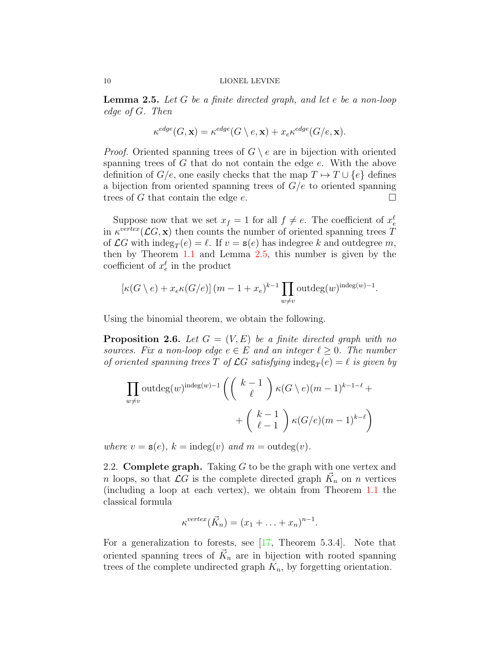<span id="page-9-0"></span>**Lemma 2.5.** Let  $G$  be a finite directed graph, and let  $e$  be a non-loop edge of G. Then

$$
\kappa^{edge}(G, \mathbf{x}) = \kappa^{edge}(G \setminus e, \mathbf{x}) + x_e \kappa^{edge}(G/e, \mathbf{x}).
$$

*Proof.* Oriented spanning trees of  $G \setminus e$  are in bijection with oriented spanning trees of G that do not contain the edge e. With the above definition of  $G/e$ , one easily checks that the map  $T \mapsto T \cup \{e\}$  defines a bijection from oriented spanning trees of  $G/e$  to oriented spanning trees of G that contain the edge  $e$ .

Suppose now that we set  $x_f = 1$  for all  $f \neq e$ . The coefficient of  $x_e^{\ell}$ in  $\kappa^{vertex}(\mathcal{L}G, \mathbf{x})$  then counts the number of oriented spanning trees T of  $\mathcal{L}G$  with  $\text{indeg}_T(e) = \ell$ . If  $v = \mathbf{s}(e)$  has indegree k and outdegree m, then by Theorem [1.1](#page-1-2) and Lemma [2.5,](#page-9-0) this number is given by the coefficient of  $x_e^{\ell}$  in the product

$$
\left[\kappa(G \setminus e) + x_e \kappa(G/e)\right](m-1+x_e)^{k-1} \prod_{w \neq v} \text{outdeg}(w)^{\text{indeg}(w)-1}.
$$

Using the binomial theorem, we obtain the following.

**Proposition 2.6.** Let  $G = (V, E)$  be a finite directed graph with no sources. Fix a non-loop edge  $e \in E$  and an integer  $\ell \geq 0$ . The number of oriented spanning trees T of  $\mathcal{L}G$  satisfying indeg<sub>T</sub>(e) =  $\ell$  is given by

$$
\prod_{w \neq v} \text{outdeg}(w)^{\text{indeg}(w)-1} \left( \binom{k-1}{\ell} \kappa(G \setminus e)(m-1)^{k-1-\ell} + \binom{k-1}{\ell-1} \kappa(G/\ell)(m-1)^{k-\ell} \right)
$$

where  $v = s(e)$ ,  $k = indeg(v)$  and  $m = outdeg(v)$ .

2.2. **Complete graph.** Taking  $G$  to be the graph with one vertex and n loops, so that  $\mathcal{L}G$  is the complete directed graph  $\vec{K}_n$  on n vertices (including a loop at each vertex), we obtain from Theorem [1.1](#page-1-2) the classical formula

$$
\kappa^{vertex}(\vec{K}_n) = (x_1 + \ldots + x_n)^{n-1}.
$$

For a generalization to forests, see  $[17,$  Theorem 5.3.4. Note that oriented spanning trees of  $\vec{K}_n$  are in bijection with rooted spanning trees of the complete undirected graph  $K_n$ , by forgetting orientation.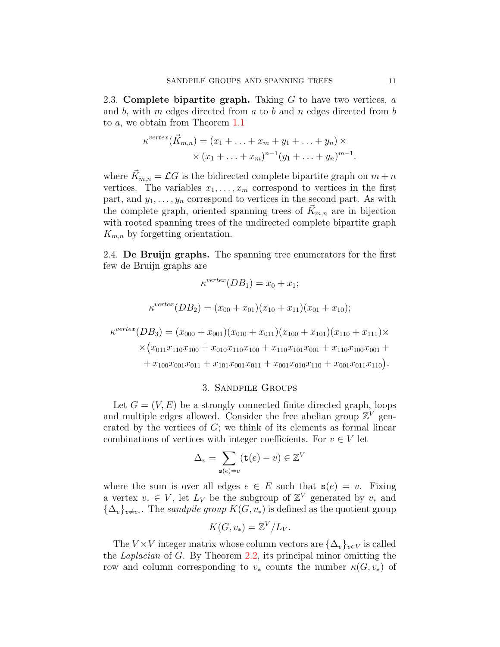2.3. Complete bipartite graph. Taking  $G$  to have two vertices,  $a$ and  $b$ , with  $m$  edges directed from  $a$  to  $b$  and  $n$  edges directed from  $b$ to a, we obtain from Theorem [1.1](#page-1-2)

$$
\kappa^{vertex}(\vec{K}_{m,n}) = (x_1 + \ldots + x_m + y_1 + \ldots + y_n) \times
$$
  
 
$$
\times (x_1 + \ldots + x_m)^{n-1}(y_1 + \ldots + y_n)^{m-1}.
$$

where  $\vec{K}_{m,n} = \mathcal{L}G$  is the bidirected complete bipartite graph on  $m + n$ vertices. The variables  $x_1, \ldots, x_m$  correspond to vertices in the first part, and  $y_1, \ldots, y_n$  correspond to vertices in the second part. As with the complete graph, oriented spanning trees of  $K_{m,n}$  are in bijection with rooted spanning trees of the undirected complete bipartite graph  $K_{m,n}$  by forgetting orientation.

2.4. De Bruijn graphs. The spanning tree enumerators for the first few de Bruijn graphs are

$$
\kappa^{vertex}(DB_1) = x_0 + x_1;
$$
  
\n
$$
\kappa^{vertex}(DB_2) = (x_{00} + x_{01})(x_{10} + x_{11})(x_{01} + x_{10});
$$
  
\n
$$
\kappa^{vertex}(DB_3) = (x_{000} + x_{001})(x_{010} + x_{011})(x_{100} + x_{101})(x_{110} + x_{111}) \times
$$
  
\n
$$
\times (x_{011}x_{110}x_{100} + x_{010}x_{110}x_{100} + x_{110}x_{101}x_{001} + x_{110}x_{100}x_{001} + x_{100}x_{001}x_{011} + x_{001}x_{010}x_{110} + x_{001}x_{011}x_{110}).
$$

# 3. Sandpile Groups

<span id="page-10-0"></span>Let  $G = (V, E)$  be a strongly connected finite directed graph, loops and multiple edges allowed. Consider the free abelian group  $\mathbb{Z}^V$  generated by the vertices of  $G$ ; we think of its elements as formal linear combinations of vertices with integer coefficients. For  $v \in V$  let

$$
\Delta_v = \sum_{\mathbf{s}(e)=v} (\mathbf{t}(e) - v) \in \mathbb{Z}^V
$$

where the sum is over all edges  $e \in E$  such that  $s(e) = v$ . Fixing a vertex  $v_* \in V$ , let  $L_V$  be the subgroup of  $\mathbb{Z}^V$  generated by  $v_*$  and  ${\{\Delta_v\}}_{v \neq v_*}$ . The sandpile group  $K(G, v_*)$  is defined as the quotient group

$$
K(G, v_*) = \mathbb{Z}^V / L_V.
$$

The  $V \times V$  integer matrix whose column vectors are  ${\{\Delta_v\}}_{v \in V}$  is called the Laplacian of G. By Theorem [2.2,](#page-6-0) its principal minor omitting the row and column corresponding to  $v_*$  counts the number  $\kappa(G, v_*)$  of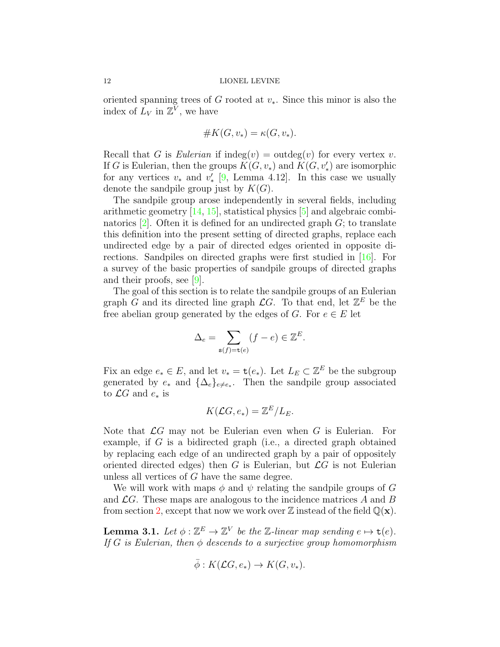oriented spanning trees of G rooted at  $v_*$ . Since this minor is also the index of  $\overline{L}_V$  in  $\mathbb{Z}^{\overline{V}}$ , we have

$$
\#K(G, v_*) = \kappa(G, v_*).
$$

Recall that G is Eulerian if  $\text{indeg}(v) = \text{outdeg}(v)$  for every vertex v. If G is Eulerian, then the groups  $K(G, v_*)$  and  $K(G, v'_*)$  are isomorphic for any vertices  $v_*$  and  $v'_*$  [\[9,](#page-18-7) Lemma 4.12]. In this case we usually denote the sandpile group just by  $K(G)$ .

The sandpile group arose independently in several fields, including arithmetic geometry [\[14,](#page-18-8) [15\]](#page-18-9), statistical physics [\[5\]](#page-17-5) and algebraic combinatorics  $[2]$ . Often it is defined for an undirected graph  $G$ ; to translate this definition into the present setting of directed graphs, replace each undirected edge by a pair of directed edges oriented in opposite directions. Sandpiles on directed graphs were first studied in [\[16\]](#page-18-10). For a survey of the basic properties of sandpile groups of directed graphs and their proofs, see [\[9\]](#page-18-7).

The goal of this section is to relate the sandpile groups of an Eulerian graph  $\tilde{G}$  and its directed line graph  $\mathcal{L}G$ . To that end, let  $\mathbb{Z}^E$  be the free abelian group generated by the edges of G. For  $e \in E$  let

$$
\Delta_e = \sum_{\mathbf{s}(f) = \mathbf{t}(e)} (f - e) \in \mathbb{Z}^E.
$$

Fix an edge  $e_* \in E$ , and let  $v_* = \mathbf{t}(e_*)$ . Let  $L_E \subset \mathbb{Z}^E$  be the subgroup generated by  $e_*$  and  $\{\Delta_e\}_{e\neq e_*}$ . Then the sandpile group associated to  $\mathcal{L}G$  and  $e_*$  is

$$
K(\mathcal{L}G, e_*) = \mathbb{Z}^E / L_E.
$$

Note that  $\mathcal{L}G$  may not be Eulerian even when G is Eulerian. For example, if G is a bidirected graph (i.e., a directed graph obtained by replacing each edge of an undirected graph by a pair of oppositely oriented directed edges) then G is Eulerian, but  $\mathcal{L}G$  is not Eulerian unless all vertices of G have the same degree.

We will work with maps  $\phi$  and  $\psi$  relating the sandpile groups of G and  $\mathcal{L}G$ . These maps are analogous to the incidence matrices A and B from section [2,](#page-3-0) except that now we work over  $\mathbb Z$  instead of the field  $\mathbb Q(\mathbf x)$ .

<span id="page-11-0"></span>**Lemma 3.1.** Let  $\phi : \mathbb{Z}^E \to \mathbb{Z}^V$  be the Z-linear map sending  $e \mapsto \mathsf{t}(e)$ . If G is Eulerian, then  $\phi$  descends to a surjective group homomorphism

$$
\bar{\phi}: K(\mathcal{L}G, e_*) \to K(G, v_*).
$$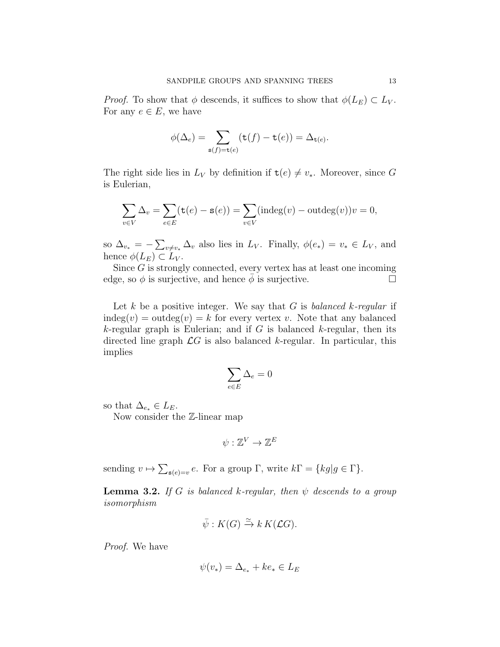*Proof.* To show that  $\phi$  descends, it suffices to show that  $\phi(L_E) \subset L_V$ . For any  $e \in E$ , we have

$$
\phi(\Delta_e) = \sum_{\mathbf{s}(f) = \mathbf{t}(e)} (\mathbf{t}(f) - \mathbf{t}(e)) = \Delta_{\mathbf{t}(e)}.
$$

The right side lies in  $L_V$  by definition if  $\mathsf{t}(e) \neq v_*$ . Moreover, since G is Eulerian,

$$
\sum_{v \in V} \Delta_v = \sum_{e \in E} (\mathtt{t}(e) - \mathtt{s}(e)) = \sum_{v \in V} (\mathrm{indeg}(v) - \mathrm{outdeg}(v))v = 0,
$$

so  $\Delta_{v_*} = -\sum_{v \neq v_*} \Delta_v$  also lies in  $L_V$ . Finally,  $\phi(e_*) = v_* \in L_V$ , and hence  $\phi(L_E) \subset L_V$ .

Since  $G$  is strongly connected, every vertex has at least one incoming edge, so  $\phi$  is surjective, and hence  $\phi$  is surjective.

Let k be a positive integer. We say that G is balanced k-regular if  $indeg(v) = outdeg(v) = k$  for every vertex v. Note that any balanced k-regular graph is Eulerian; and if G is balanced k-regular, then its directed line graph  $\mathcal{L}G$  is also balanced k-regular. In particular, this implies

$$
\sum_{e\in E}\Delta_e=0
$$

so that  $\Delta_{e_*} \in L_E$ .

Now consider the  $\mathbb{Z}$ -linear map

$$
\psi:\mathbb{Z}^V\to\mathbb{Z}^E
$$

sending  $v \mapsto \sum_{s(e)=v} e$ . For a group  $\Gamma$ , write  $k\Gamma = \{kg | g \in \Gamma\}$ .

<span id="page-12-0"></span>**Lemma 3.2.** If G is balanced k-regular, then  $\psi$  descends to a group isomorphism

$$
\bar{\psi}: K(G) \xrightarrow{\simeq} k K(\mathcal{L}G).
$$

Proof. We have

$$
\psi(v_*) = \Delta_{e_*} + ke_* \in L_E
$$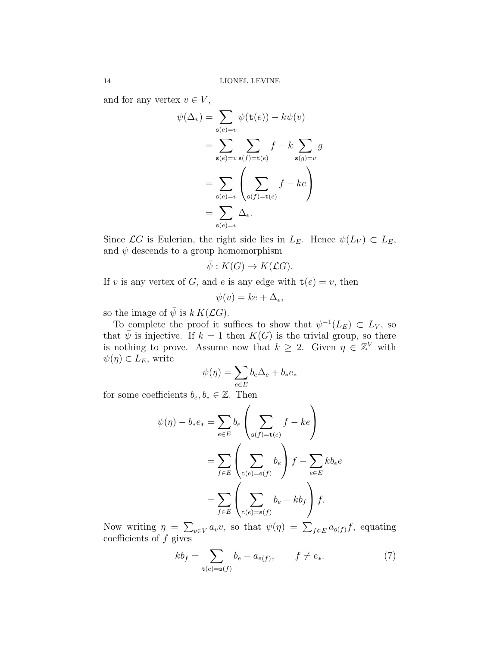and for any vertex  $v \in V$ ,

$$
\psi(\Delta_v) = \sum_{\mathbf{s}(e)=v} \psi(\mathbf{t}(e)) - k\psi(v)
$$

$$
= \sum_{\mathbf{s}(e)=v} \sum_{\mathbf{s}(f)=\mathbf{t}(e)} f - k \sum_{\mathbf{s}(g)=v} g
$$

$$
= \sum_{\mathbf{s}(e)=v} \left( \sum_{\mathbf{s}(f)=\mathbf{t}(e)} f - ke \right)
$$

$$
= \sum_{\mathbf{s}(e)=v} \Delta_e.
$$

Since  $\mathcal{L}G$  is Eulerian, the right side lies in  $L_E$ . Hence  $\psi(L_V) \subset L_E$ , and  $\psi$  descends to a group homomorphism

$$
\bar{\psi}: K(G) \to K(\mathcal{L}G).
$$

If v is any vertex of G, and e is any edge with  $\mathsf{t}(e) = v$ , then

$$
\psi(v) = ke + \Delta_e,
$$

so the image of  $\bar{\psi}$  is  $k K(\mathcal{L}G)$ .

To complete the proof it suffices to show that  $\psi^{-1}(L_E) \subset L_V$ , so that  $\bar{\psi}$  is injective. If  $k = 1$  then  $K(G)$  is the trivial group, so there is nothing to prove. Assume now that  $k \geq 2$ . Given  $\eta \in \mathbb{Z}^V$  with  $\psi(\eta) \in L_E$ , write

$$
\psi(\eta) = \sum_{e \in E} b_e \Delta_e + b_* e_*
$$

for some coefficients  $b_e, b_* \in \mathbb{Z}$ . Then

$$
\psi(\eta) - b_* e_* = \sum_{e \in E} b_e \left( \sum_{\mathbf{s}(f) = \mathbf{t}(e)} f - ke \right)
$$

$$
= \sum_{f \in E} \left( \sum_{\mathbf{t}(e) = \mathbf{s}(f)} b_e \right) f - \sum_{e \in E} k b_e e
$$

$$
= \sum_{f \in E} \left( \sum_{\mathbf{t}(e) = \mathbf{s}(f)} b_e - k b_f \right) f.
$$

Now writing  $\eta = \sum_{v \in V} a_v v$ , so that  $\psi(\eta) = \sum_{f \in E} a_{s(f)} f$ , equating coefficients of  $f$  gives

<span id="page-13-0"></span>
$$
kb_f = \sum_{\mathbf{t}(e) = \mathbf{s}(f)} b_e - a_{\mathbf{s}(f)}, \qquad f \neq e_*. \tag{7}
$$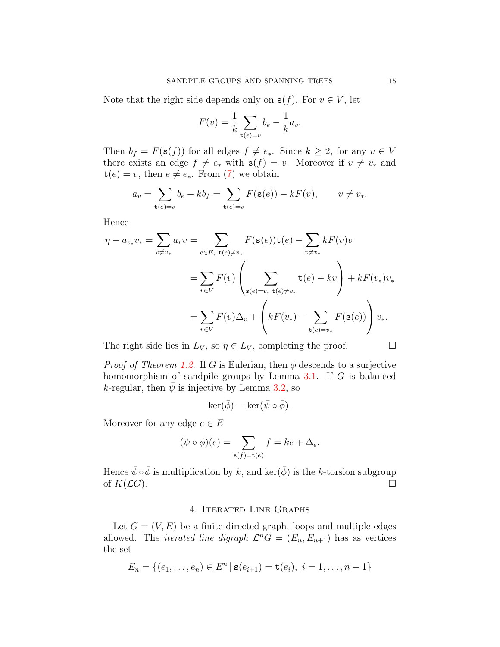Note that the right side depends only on  $s(f)$ . For  $v \in V$ , let

$$
F(v) = \frac{1}{k} \sum_{\mathbf{t}(e)=v} b_e - \frac{1}{k} a_v.
$$

Then  $b_f = F(\mathbf{s}(f))$  for all edges  $f \neq e_*.$  Since  $k \geq 2$ , for any  $v \in V$ there exists an edge  $f \neq e_*$  with  $s(f) = v$ . Moreover if  $v \neq v_*$  and  $t(e) = v$ , then  $e \neq e_*$ . From [\(7\)](#page-13-0) we obtain

$$
a_v = \sum_{\mathsf{t}(e)=v} b_e - kb_f = \sum_{\mathsf{t}(e)=v} F(\mathsf{s}(e)) - kF(v), \qquad v \neq v_*
$$

Hence

$$
\eta - a_{v_*} v_* = \sum_{v \neq v_*} a_v v = \sum_{e \in E, \ t(e) \neq v_*} F(\mathbf{s}(e)) \mathbf{t}(e) - \sum_{v \neq v_*} k F(v) v \n= \sum_{v \in V} F(v) \left( \sum_{\mathbf{s}(e) = v, \ t(e) \neq v_*} \mathbf{t}(e) - k v \right) + k F(v_*) v_* \n= \sum_{v \in V} F(v) \Delta_v + \left( k F(v_*) - \sum_{\mathbf{t}(e) = v_*} F(\mathbf{s}(e)) \right) v_*.
$$

The right side lies in  $L_V$ , so  $\eta \in L_V$ , completing the proof.  $\Box$ 

*Proof of Theorem [1.2.](#page-2-0)* If G is Eulerian, then  $\phi$  descends to a surjective homomorphism of sandpile groups by Lemma [3.1.](#page-11-0) If G is balanced k-regular, then  $\psi$  is injective by Lemma [3.2,](#page-12-0) so

$$
\ker(\bar{\phi}) = \ker(\bar{\psi} \circ \bar{\phi}).
$$

Moreover for any edge  $e \in E$ 

$$
(\psi \circ \phi)(e) = \sum_{\mathbf{s}(f) = \mathbf{t}(e)} f = ke + \Delta_e.
$$

Hence  $\bar{\psi} \circ \bar{\phi}$  is multiplication by k, and ker( $\bar{\phi}$ ) is the k-torsion subgroup of  $K(\mathcal{L}G)$ .

## 4. Iterated Line Graphs

<span id="page-14-0"></span>Let  $G = (V, E)$  be a finite directed graph, loops and multiple edges allowed. The *iterated line digraph*  $\mathcal{L}^n G = (E_n, E_{n+1})$  has as vertices the set

$$
E_n = \{(e_1, \ldots, e_n) \in E^n \mid \mathbf{s}(e_{i+1}) = \mathbf{t}(e_i), \ i = 1, \ldots, n-1\}
$$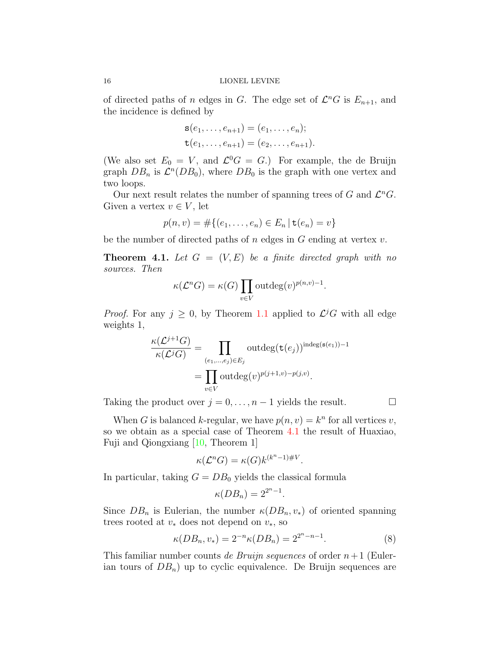of directed paths of n edges in G. The edge set of  $\mathcal{L}^n G$  is  $E_{n+1}$ , and the incidence is defined by

$$
\mathbf{s}(e_1,\ldots,e_{n+1}) = (e_1,\ldots,e_n);
$$
  

$$
\mathbf{t}(e_1,\ldots,e_{n+1}) = (e_2,\ldots,e_{n+1}).
$$

(We also set  $E_0 = V$ , and  $\mathcal{L}^0 G = G$ .) For example, the de Bruijn graph  $DB_n$  is  $\mathcal{L}^n(DB_0)$ , where  $DB_0$  is the graph with one vertex and two loops.

Our next result relates the number of spanning trees of  $G$  and  $\mathcal{L}^n G$ . Given a vertex  $v \in V$ , let

$$
p(n, v) = #\{(e_1, \ldots, e_n) \in E_n \,|\, \mathbf{t}(e_n) = v\}
$$

be the number of directed paths of  $n$  edges in  $G$  ending at vertex  $v$ .

<span id="page-15-0"></span>**Theorem 4.1.** Let  $G = (V, E)$  be a finite directed graph with no sources. Then

$$
\kappa(\mathcal{L}^n G) = \kappa(G) \prod_{v \in V} \text{outdeg}(v)^{p(n,v)-1}.
$$

*Proof.* For any  $j \geq 0$ , by Theorem [1.1](#page-1-2) applied to  $\mathcal{L}^jG$  with all edge weights 1,

$$
\frac{\kappa(\mathcal{L}^{j+1}G)}{\kappa(\mathcal{L}^jG)} = \prod_{(e_1,\dots,e_j)\in E_j} \text{outdeg}(\mathbf{t}(e_j))^{\text{indeg}(\mathbf{s}(e_1))-1}
$$

$$
= \prod_{v\in V} \text{outdeg}(v)^{p(j+1,v)-p(j,v)}.
$$

Taking the product over  $j = 0, \ldots, n-1$  yields the result.  $\Box$ 

When G is balanced k-regular, we have  $p(n, v) = k^n$  for all vertices v, so we obtain as a special case of Theorem [4.1](#page-15-0) the result of Huaxiao, Fuji and Qiongxiang [\[10,](#page-18-2) Theorem 1]

$$
\kappa(\mathcal{L}^n G) = \kappa(G) k^{(k^n - 1) \# V}.
$$

In particular, taking  $G = DB_0$  yields the classical formula

$$
\kappa(DB_n) = 2^{2^n - 1}.
$$

Since  $DB_n$  is Eulerian, the number  $\kappa(DB_n, v_*)$  of oriented spanning trees rooted at  $v_*$  does not depend on  $v_*,$  so

<span id="page-15-1"></span>
$$
\kappa(DB_n, v_*) = 2^{-n}\kappa(DB_n) = 2^{2^n - n - 1}.
$$
\n(8)

This familiar number counts de Bruijn sequences of order  $n+1$  (Eulerian tours of  $DB_n$ ) up to cyclic equivalence. De Bruijn sequences are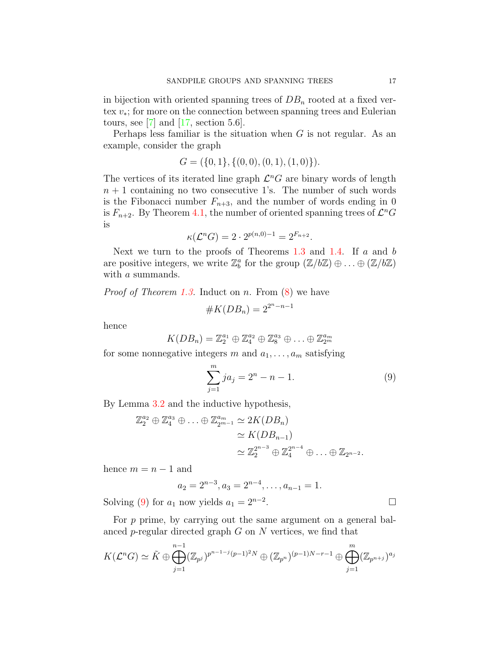in bijection with oriented spanning trees of  $DB_n$  rooted at a fixed vertex v∗; for more on the connection between spanning trees and Eulerian tours, see  $[7]$  and  $[17]$ , section 5.6.

Perhaps less familiar is the situation when  $G$  is not regular. As an example, consider the graph

$$
G = (\{0, 1\}, \{(0, 0), (0, 1), (1, 0)\}).
$$

The vertices of its iterated line graph  $\mathcal{L}^n G$  are binary words of length  $n + 1$  containing no two consecutive 1's. The number of such words is the Fibonacci number  $F_{n+3}$ , and the number of words ending in 0 is  $F_{n+2}$ . By Theorem [4.1,](#page-15-0) the number of oriented spanning trees of  $\mathcal{L}^n G$ is

$$
\kappa(\mathcal{L}^n G) = 2 \cdot 2^{p(n,0)-1} = 2^{F_{n+2}}.
$$

Next we turn to the proofs of Theorems [1.3](#page-2-1) and [1.4.](#page-3-1) If  $a$  and  $b$ are positive integers, we write  $\mathbb{Z}_b^a$  for the group  $(\mathbb{Z}/b\mathbb{Z})\oplus\ldots\oplus(\mathbb{Z}/b\mathbb{Z})$ with a summands.

*Proof of Theorem [1.3.](#page-2-1)* Induct on *n*. From  $(8)$  we have

$$
\#K(DB_n) = 2^{2^n - n - 1}
$$

hence

$$
K(DB_n) = \mathbb{Z}_2^{a_1} \oplus \mathbb{Z}_4^{a_2} \oplus \mathbb{Z}_8^{a_3} \oplus \ldots \oplus \mathbb{Z}_{2^m}^{a_m}
$$

for some nonnegative integers m and  $a_1, \ldots, a_m$  satisfying

<span id="page-16-0"></span>
$$
\sum_{j=1}^{m} ja_j = 2^n - n - 1.
$$
 (9)

By Lemma [3.2](#page-12-0) and the inductive hypothesis,

$$
\mathbb{Z}_2^{a_2} \oplus \mathbb{Z}_4^{a_3} \oplus \ldots \oplus \mathbb{Z}_{2^{m-1}}^{a_m} \simeq 2K(DB_n)
$$
  
\n
$$
\simeq K(DB_{n-1})
$$
  
\n
$$
\simeq \mathbb{Z}_2^{2^{n-3}} \oplus \mathbb{Z}_4^{2^{n-4}} \oplus \ldots \oplus \mathbb{Z}_{2^{n-2}}.
$$

hence  $m = n - 1$  and

$$
a_2 = 2^{n-3}, a_3 = 2^{n-4}, \dots, a_{n-1} = 1.
$$
  
now yields  $a_1 = 2^{n-2}$ .

Solving [\(9\)](#page-16-0) for  $a_1$  now yields  $a_1 = 2^{n-2}$ .

For  $p$  prime, by carrying out the same argument on a general balanced p-regular directed graph  $G$  on  $N$  vertices, we find that

$$
K(\mathcal{L}^n G) \simeq \tilde{K} \oplus \bigoplus_{j=1}^{n-1} (\mathbb{Z}_{p^j})^{p^{n-1-j}(p-1)^2 N} \oplus (\mathbb{Z}_{p^n})^{(p-1)N-r-1} \oplus \bigoplus_{j=1}^m (\mathbb{Z}_{p^{n+j}})^{a_j}
$$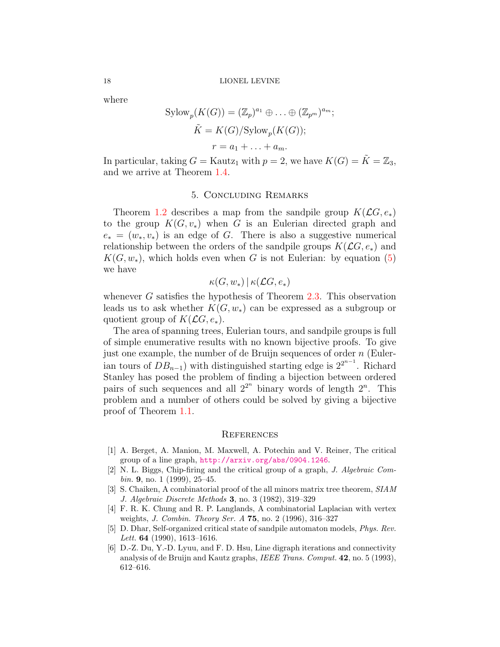where

$$
Sylow_p(K(G)) = (\mathbb{Z}_p)^{a_1} \oplus \dots \oplus (\mathbb{Z}_{p^m})^{a_m};
$$
  
\n
$$
\tilde{K} = K(G)/Sylow_p(K(G));
$$
  
\n
$$
r = a_1 + \dots + a_m.
$$

In particular, taking  $G =$  Kautz<sub>1</sub> with  $p = 2$ , we have  $K(G) = \tilde{K} = \mathbb{Z}_3$ , and we arrive at Theorem [1.4.](#page-3-1)

### 5. Concluding Remarks

<span id="page-17-2"></span>Theorem [1.2](#page-2-0) describes a map from the sandpile group  $K(\mathcal{L}G, e_*)$ to the group  $K(G, v_*)$  when G is an Eulerian directed graph and  $e_* = (w_*, v_*)$  is an edge of G. There is also a suggestive numerical relationship between the orders of the sandpile groups  $K(\mathcal{L}G, e_*)$  and  $K(G, w_*)$ , which holds even when G is not Eulerian: by equation [\(5\)](#page-7-0) we have

$$
\kappa(G,w_*)\,|\,\kappa(\mathcal{L}G,e_*)
$$

whenever  $G$  satisfies the hypothesis of Theorem [2.3.](#page-6-1) This observation leads us to ask whether  $K(G, w_*)$  can be expressed as a subgroup or quotient group of  $K(\mathcal{L}G, e_*)$ .

The area of spanning trees, Eulerian tours, and sandpile groups is full of simple enumerative results with no known bijective proofs. To give just one example, the number of de Bruijn sequences of order  $n$  (Eulerian tours of  $DB_{n-1}$ ) with distinguished starting edge is  $2^{2^{n-1}}$ . Richard Stanley has posed the problem of finding a bijection between ordered pairs of such sequences and all  $2^{2^n}$  binary words of length  $2^n$ . This problem and a number of others could be solved by giving a bijective proof of Theorem [1.1.](#page-1-2)

#### **REFERENCES**

- <span id="page-17-0"></span>[1] A. Berget, A. Manion, M. Maxwell, A. Potechin and V. Reiner, The critical group of a line graph, <http://arxiv.org/abs/0904.1246>.
- <span id="page-17-6"></span>[2] N. L. Biggs, Chip-firing and the critical group of a graph, J. Algebraic Com $bin. 9$ , no. 1 (1999), 25-45.
- <span id="page-17-4"></span>[3] S. Chaiken, A combinatorial proof of the all minors matrix tree theorem, SIAM J. Algebraic Discrete Methods 3, no. 3 (1982), 319–329
- <span id="page-17-3"></span>[4] F. R. K. Chung and R. P. Langlands, A combinatorial Laplacian with vertex weights, *J. Combin. Theory Ser. A* **75**, no. 2 (1996), 316–327
- <span id="page-17-5"></span>[5] D. Dhar, Self-organized critical state of sandpile automaton models, Phys. Rev. Lett. **64** (1990), 1613–1616.
- <span id="page-17-1"></span>[6] D.-Z. Du, Y.-D. Lyuu, and F. D. Hsu, Line digraph iterations and connectivity analysis of de Bruijn and Kautz graphs, IEEE Trans. Comput. 42, no. 5 (1993), 612–616.